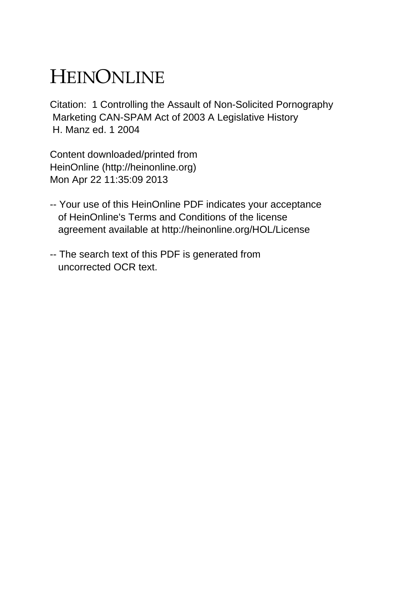# HEINONLINE

Citation: 1 Controlling the Assault of Non-Solicited Pornography Marketing CAN-SPAM Act of 2003 A Legislative History H. Manz ed. 1 2004

Content downloaded/printed from HeinOnline (http://heinonline.org) Mon Apr 22 11:35:09 2013

- -- Your use of this HeinOnline PDF indicates your acceptance of HeinOnline's Terms and Conditions of the license agreement available at http://heinonline.org/HOL/License
- -- The search text of this PDF is generated from uncorrected OCR text.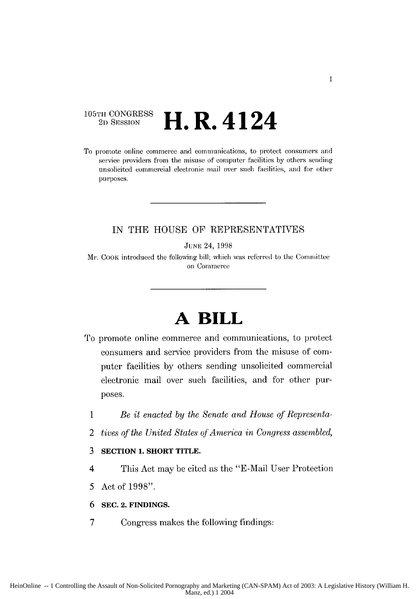### **105TH CONGRESS**<br>
2D SESSION <sup>21</sup>**SESSION H. R. 4124**

To promote online commerce and communications, to protect consumers and service providers from the misuse of computer facilities by others sending unsolicited commercial electronic **mail** over **such** facilities, and for other **purposes.**

### IN THE HOUSE OF REPRESENTATIVES

**JUNE** 24, 1998

Mr. COOK introduced the following bill; which was referred to the Committee on Comnerce

# **A BILL**

- To promote online commerce and communications, to protect consumers and service providers from the misuse of computer facilities by others sending unsolicited commercial electronic mail over such facilities, and for other purposes.
	- *1 Be it enacted by the Senate and House of Representa-*
	- 2 *tires of the United States of America in Congress assembled,*
	- 3 **SECTION 1. SHORT TITLE.**
	- 4 This Act **may** be cited as the "E-Mail User Protection
	- 5 Act of 1998".
	- 6 **SEC. 2. FINDINGS.**
	- 7 Congress makes the following findings: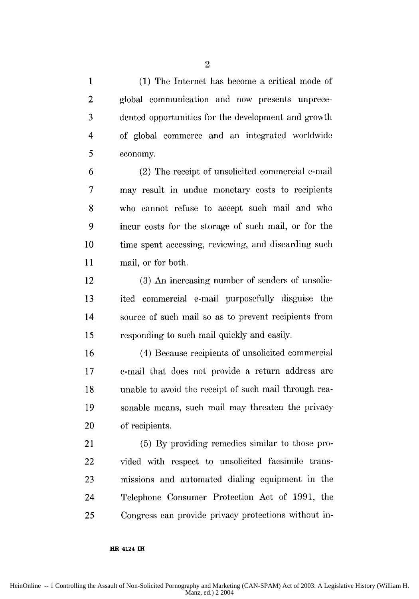1 (1) The Internet has become a critical mode of 2 global communication and now presents unprece-3 dented opportunities for the development and growth 4 of global commerce and an integrated worldwide 5 economy.

6 (2) The receipt of unsolicited commercial e-mail 7 may result in undue monetary costs to recipients 8 who cannot refuse to accept such mail and who 9 incur costs for the storage of such mail, or for the 10 time spent accessing, reviewing, and discarding such 11 mail, or for both.

12 (3) An increasing number of senders of unsolic-13 ited commercial e-mail purposefully disguise the 14 source of such mail so as to prevent recipients from 15 responding to such mail quickly and easily.

16 (4) Because recipients of unsolicited commercial 17 e-mail that does not provide a return address are 18 unable to avoid the receipt of such mail through rea-**19** sonable means, such mail may threaten the privacy 20 of recipients.

21 (5) By providing remedies similar to those pro-22 vided with respect to unsolicited facsimile trans-23 missions and automated dialing equipment in the 24 Telephone Consumer Protection Act of 1991, the 25 Congress can provide privacy protections without in-

#### **HR 4124 i**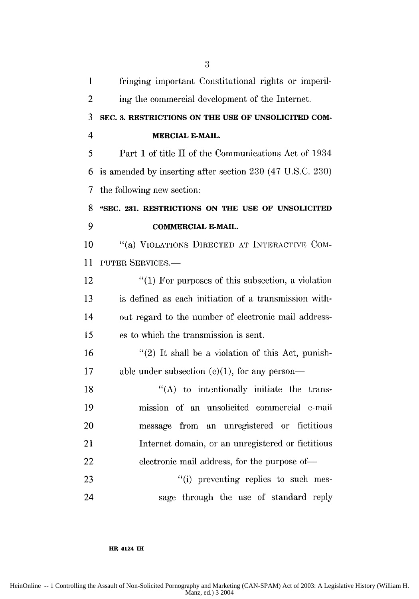| $\mathbf{1}$   | fringing important Constitutional rights or imperil-      |
|----------------|-----------------------------------------------------------|
| $\overline{2}$ | ing the commercial development of the Internet.           |
| 3              | SEC. 3. RESTRICTIONS ON THE USE OF UNSOLICITED COM-       |
| 4              | MERCIAL E-MAIL.                                           |
| 5              | Part 1 of title II of the Communications Act of 1934      |
| 6              | is amended by inserting after section 230 (47 U.S.C. 230) |
| 7              | the following new section:                                |
| 8              | "SEC. 231. RESTRICTIONS ON THE USE OF UNSOLICITED         |
| 9              | <b>COMMERCIAL E-MAIL.</b>                                 |
| 10             | "(a) VIOLATIONS DIRECTED AT INTERACTIVE COM-              |
| 11             | <b>PUTER SERVICES.—</b>                                   |
| 12             | $\lq(1)$ For purposes of this subsection, a violation     |
| 13             | is defined as each initiation of a transmission with-     |
| 14             | out regard to the number of electronic mail address-      |
| 15             | es to which the transmission is sent.                     |
| 16             | $\lq(2)$ It shall be a violation of this Act, punish-     |
| 17             | able under subsection $(c)(1)$ , for any person—          |
| 18             | "(A) to intentionally initiate the trans-                 |
| 19             | mission of an unsolicited commercial e-mail               |
| 20             | an unregistered or fictitious<br>from<br>message          |
| 21             | Internet domain, or an unregistered or fictitious         |
| 22             | electronic mail address, for the purpose of-              |
| 23             | "(i) preventing replies to such mes-                      |
| 24             | sage through the use of standard reply                    |

#### **HR 4124 IH**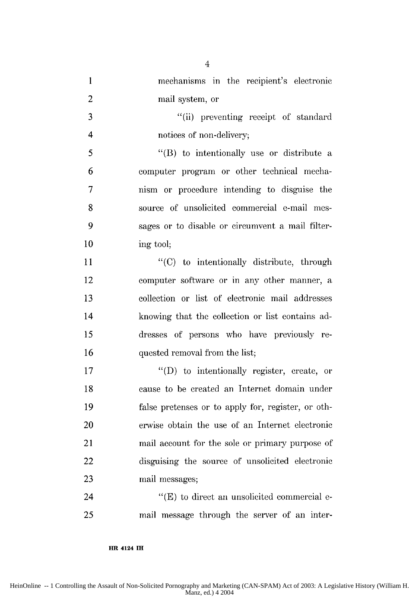| $\mathbf{1}$            | mechanisms in the recipient's electronic             |
|-------------------------|------------------------------------------------------|
| $\overline{2}$          | mail system, or                                      |
| 3                       | "(ii) preventing receipt of standard                 |
| $\overline{\mathbf{4}}$ | notices of non-delivery;                             |
| 5                       | "(B) to intentionally use or distribute a            |
| 6                       | computer program or other technical mecha-           |
| 7                       | nism or procedure intending to disguise the          |
| 8                       | source of unsolicited commercial e-mail mes-         |
| 9                       | sages or to disable or circumvent a mail filter-     |
| 10                      | ing tool;                                            |
| 11                      | "(C) to intentionally distribute, through            |
| 12                      | computer software or in any other manner, a          |
| 13                      | collection or list of electronic mail addresses      |
| 14                      | knowing that the collection or list contains ad-     |
| 15                      | dresses of persons who have previously re-           |
| 16                      | quested removal from the list;                       |
| 17                      | $\text{``(D)}$ to intentionally register, create, or |
| 18                      | cause to be created an Internet domain under         |
| 19                      | false pretenses or to apply for, register, or oth-   |
| 20                      | erwise obtain the use of an Internet electronic      |
| 21                      | mail account for the sole or primary purpose of      |
| 22                      | disguising the source of unsolicited electronic      |
| 23                      | mail messages;                                       |
| 24                      | $"E$ to direct an unsolicited commercial e-          |
| 25                      | mail message through the server of an inter-         |

4

**HR 4124 1H**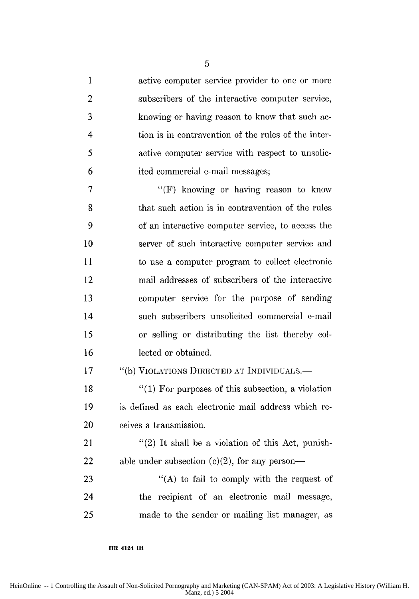| $\mathbf{1}$   | active computer service provider to one or more       |
|----------------|-------------------------------------------------------|
| $\overline{2}$ | subscribers of the interactive computer service,      |
| 3              | knowing or having reason to know that such ac-        |
| 4              | tion is in contravention of the rules of the inter-   |
| 5              | active computer service with respect to unsolic-      |
| 6              | ited commercial e-mail messages;                      |
| 7              | "(F) knowing or having reason to know                 |
| 8              | that such action is in contravention of the rules     |
| 9              | of an interactive computer service, to access the     |
| 10             | server of such interactive computer service and       |
| 11             | to use a computer program to collect electronic       |
| 12             | mail addresses of subscribers of the interactive      |
| 13             | computer service for the purpose of sending           |
| 14             | such subscribers unsolicited commercial e-mail        |
| 15             | or selling or distributing the list thereby col-      |
| 16             | lected or obtained.                                   |
| 17             | "(b) VIOLATIONS DIRECTED AT INDIVIDUALS.-             |
| 18             | $\lq(1)$ For purposes of this subsection, a violation |
| 19             | is defined as each electronic mail address which re-  |
| 20             | ceives a transmission.                                |
| 21             | $\lq(2)$ It shall be a violation of this Act, punish- |
| 22             | able under subsection $(c)(2)$ , for any person—      |
| 23             | "(A) to fail to comply with the request of            |
| 24             | the recipient of an electronic mail message,          |
| 25             | made to the sender or mailing list manager, as        |

**HR 4124 I1**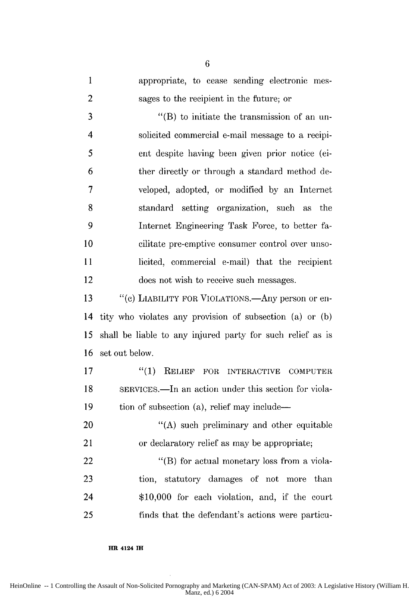1 appropriate, to cease sending electronic mes-2 sages to the recipient in the future; or

**3** "(B) to initiate the transmission of an un-4 solicited commercial e-mail message to a recipi-5 ent despite having been given prior notice (ei-6 ther directly or through a standard method de-7 veloped, adopted, or modified by an Internet 8 standard setting organization, such as the 9 Internet Engineering Task Force, to better fa-10 cilitate pre-emptive consumer control over unso-11 licited, commercial e-mail) that the recipient 12 does not wish to receive such messages.

13 "(c) LIABILITY FOR VIOLATIONS.—Any person or en-14 tity who violates any provision of subsection (a) or (b) 15 shall be liable to any injured party for such relief as is 16 set out below.

17 "(1) RELIEF FOR INTERACTIVE COMPUTER 18 SERVICES.—In an action under this section for viola-19 tion of subsection (a), relief may include—

20 "(A) such preliminary and other equitable 21 or declaratory relief as may be appropriate;

22 "(B) for actual monetary loss from a viola-23 tion, statutory damages of not more than 24 \$10,000 for each violation, and, if the court 25 finds that the defendant's actions were particu-

**HR 4124 I**

**6**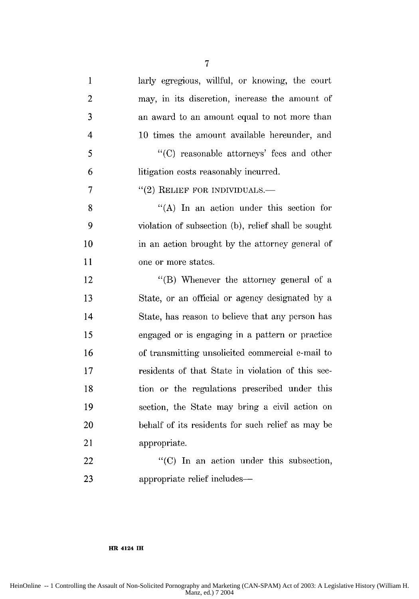| $\mathbf{l}$   | larly egregious, willful, or knowing, the court     |
|----------------|-----------------------------------------------------|
| $\overline{2}$ | may, in its discretion, increase the amount of      |
| 3              | an award to an amount equal to not more than        |
| 4              | 10 times the amount available hereunder, and        |
| 5              | "(C) reasonable attorneys' fees and other           |
| 6              | litigation costs reasonably incurred.               |
| 7              | $"$ (2) RELIEF FOR INDIVIDUALS.—                    |
| 8              | $H(A)$ In an action under this section for          |
| 9              | violation of subsection (b), relief shall be sought |
| 10             | in an action brought by the attorney general of     |
| 11             | one or more states.                                 |
| 12             | $\lq\lq$ (B) Whenever the attorney general of a     |
| 13             | State, or an official or agency designated by a     |
| 14             | State, has reason to believe that any person has    |
| 15             | engaged or is engaging in a pattern or practice     |
| 16             | of transmitting unsolicited commercial e-mail to    |
| 17             | residents of that State in violation of this sec-   |
| 18             | tion or the regulations prescribed under this       |
| 19             | section, the State may bring a civil action on      |
| 20             | behalf of its residents for such relief as may be   |
| 21             | appropriate.                                        |
| 22             | "(C) In an action under this subsection,            |
| 23             | appropriate relief includes—                        |

#### **R** 4124 **IH**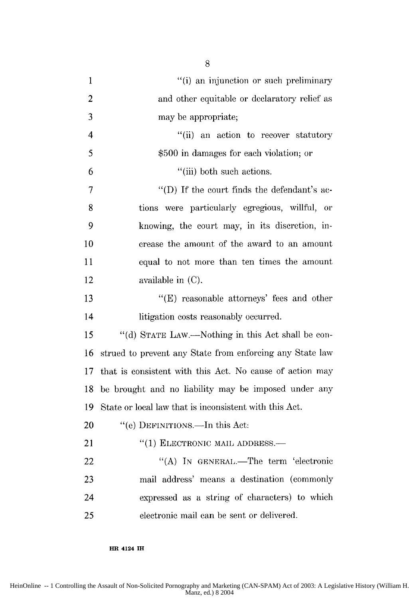| $\mathbf{1}$   | "(i) an injunction or such preliminary                   |
|----------------|----------------------------------------------------------|
| $\overline{c}$ | and other equitable or declaratory relief as             |
| 3              | may be appropriate;                                      |
| $\overline{4}$ | "(ii) an action to recover statutory                     |
| 5              | \$500 in damages for each violation; or                  |
| 6              | "(iii) both such actions.                                |
| 7              | "(D) If the court finds the defendant's ac-              |
| 8              | tions were particularly egregious, willful, or           |
| 9              | knowing, the court may, in its discretion, in-           |
| 10             | crease the amount of the award to an amount              |
| 11             | equal to not more than ten times the amount              |
| 12             | available in $(C)$ .                                     |
| 13             | $\lq\lq(E)$ reasonable attorneys' fees and other         |
| 14             | litigation costs reasonably occurred.                    |
| 15             | "(d) STATE LAW.-Nothing in this Act shall be con-        |
| 16             | strued to prevent any State from enforcing any State law |
| 17             | that is consistent with this Act. No cause of action may |
| 18             | be brought and no liability may be imposed under any     |
| 19             | State or local law that is inconsistent with this Act.   |
| 20             | "(e) DEFINITIONS.—In this Act:                           |
| 21             | $"(1)$ ELECTRONIC MAIL ADDRESS.                          |
| 22             | "(A) In GENERAL.—The term 'electronic                    |
| 23             | mail address' means a destination (commonly              |
| 24             | expressed as a string of characters) to which            |
| 25             | electronic mail can be sent or delivered.                |

#### **HR 4124 IH**

HeinOnline -- 1 Controlling the Assault of Non-Solicited Pornography and Marketing (CAN-SPAM) Act of 2003: A Legislative History (William H. Manz, ed.) 8 2004

**8**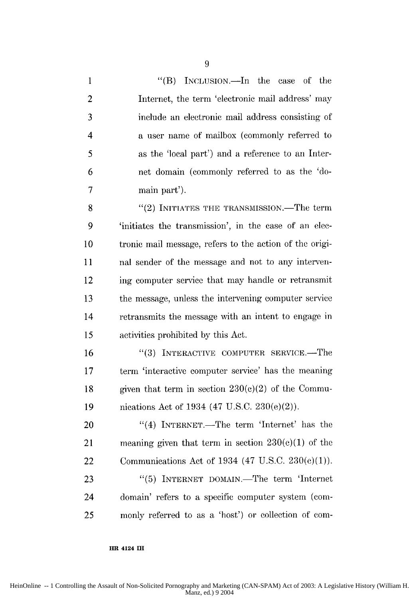| $\mathbf{1}$   | INCLUSION.—In the case<br>(6)<br>of the                 |
|----------------|---------------------------------------------------------|
| $\overline{2}$ | Internet, the term 'electronic mail address' may        |
| 3              | include an electronic mail address consisting of        |
| $\overline{4}$ | a user name of mailbox (commonly referred to            |
| 5              | as the 'local part') and a reference to an Inter-       |
| 6              | net domain (commonly referred to as the 'do-            |
| 7              | main part').                                            |
| 8              | "(2) INITIATES THE TRANSMISSION.—The term               |
| 9              | 'initiates the transmission', in the case of an elec-   |
| 10             | tronic mail message, refers to the action of the origi- |
| 11             | nal sender of the message and not to any interven-      |
| 12             | ing computer service that may handle or retransmit      |
| 13             | the message, unless the intervening computer service    |
| 14             | retransmits the message with an intent to engage in     |
| 15             | activities prohibited by this Act.                      |
| 16             | "(3) INTERACTIVE COMPUTER SERVICE.-The                  |
| 17             | term 'interactive computer service' has the meaning     |
| 18             | given that term in section $230(c)(2)$ of the Commu-    |
| 19             | nications Act of 1934 (47 U.S.C. 230(e)(2)).            |
| 20             | $\cdot$ (4) INTERNET.—The term 'Internet' has the       |
| 21             | meaning given that term in section $230(e)(1)$ of the   |
| 22             | Communications Act of 1934 (47 U.S.C. 230(c)(1)).       |
| 23             | "(5) INTERNET DOMAIN.—The term 'Internet                |
| 24             | domain' refers to a specific computer system (com-      |
| 25             | monly referred to as a 'host') or collection of com-    |

#### **HR 4124 1I**

HeinOnline -- 1 Controlling the Assault of Non-Solicited Pornography and Marketing (CAN-SPAM) Act of 2003: A Legislative History (William H. Manz, ed.) 9 2004

9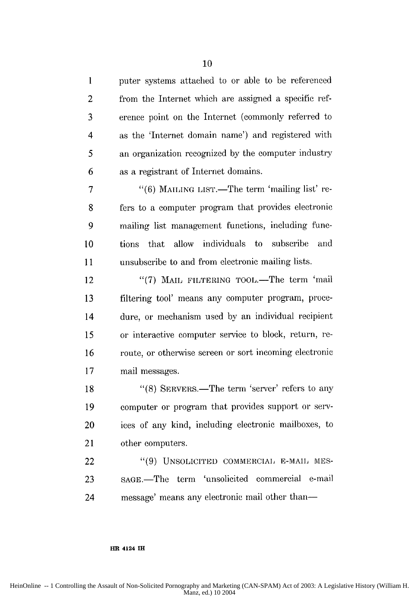**I** puter systems attached to or able to be referenced 2 from the Internet which are assigned a specific ref-3 erence point on the Internet (commonly referred to 4 as the 'Internet domain name') and registered with 5 an organization recognized by the computer industry 6 as a registrant of Internet domains.

7 "(6) MAILING LIST.—The term 'mailing list' re-8 fers to a computer program that provides electronic 9 mailing list management functions, including fune-**10** tions that allow individuals to subscribe and 11 unsubscribe to and from electronic mailing lists.

12 "(7) MAIL FILTERING TOOL.—The term 'mail 13 filtering tool' means any computer program, proce-14 dure, or mechanism used by an individual recipient 15 or interactive computer service to block, return, re-16 route, or otherwise screen or sort incoming electronic 17 mail messages.

18 "(8) SERVERS.—The term 'server' refers to any 19 computer or program that provides support or serv-20 ices of any kind, including electronic mailboxes, to 21 other computers.

22 "(9) UNSOLICITED COMMERCIAL E-MAIL MES-23 SAGE.—The term 'unsolicited commercial e-mail 24 message' means any electronic mail other than—

#### **HR** 4124 **1H**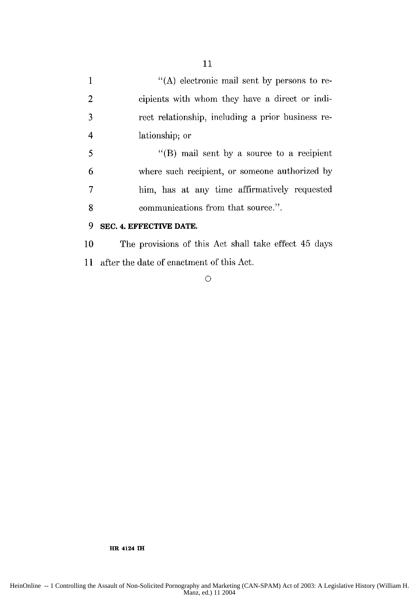| $\mathbf{1}$   | "(A) electronic mail sent by persons to re-          |
|----------------|------------------------------------------------------|
| $\overline{2}$ | cipients with whom they have a direct or indi-       |
| 3              | rect relationship, including a prior business re-    |
| $\overline{4}$ | lationship; or                                       |
| $\overline{5}$ | $\lq\lq (B)$ mail sent by a source to a recipient    |
| 6              | where such recipient, or someone authorized by       |
| 7              | him, has at any time affirmatively requested         |
| 8              | communications from that source.".                   |
| 9              | <b>SEC. 4. EFFECTIVE DATE.</b>                       |
| ۱Λ.            | The provisions of this Act shall take effect 45 days |

**10** The provisions of this Act shall take effect 45 days 11 after the date of enactment of this Act.

**0**

**HR 4124 H**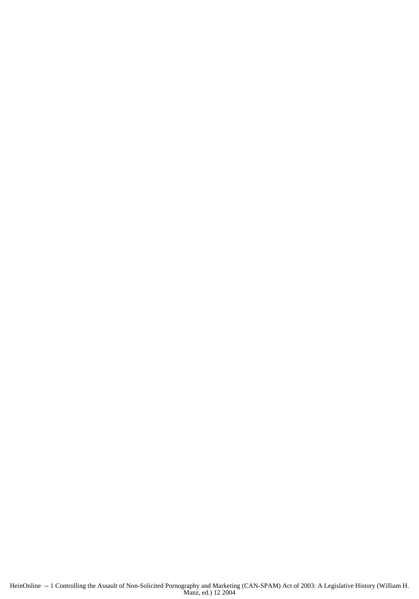HeinOnline -- 1 Controlling the Assault of Non-Solicited Pornography and Marketing (CAN-SPAM) Act of 2003: A Legislative History (William H. Manz, ed.) 12 2004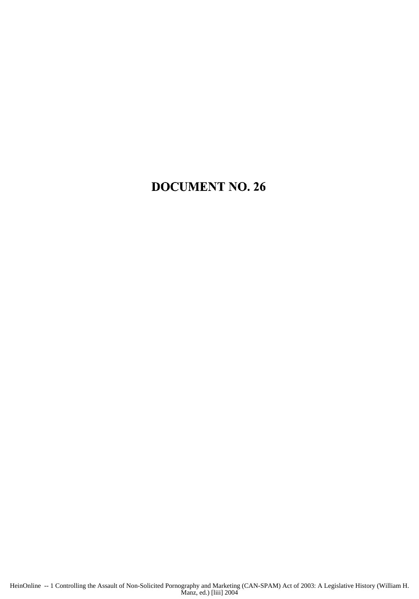## **DOCUMENT NO. 26**